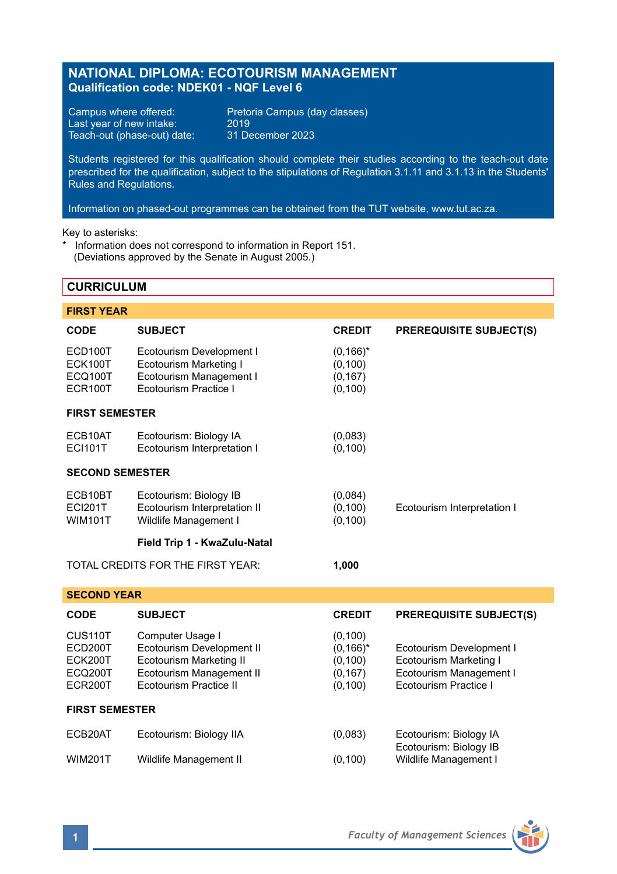# **NATIONAL DIPLOMA: ECOTOURISM MANAGEMENT Qualification code: NDEK01 - NQF Level 6**

Last year of new intake: 2019<br>Teach-out (phase-out) date: 31 December 2023 Teach-out (phase-out) date:

Campus where offered: Pretoria Campus (day classes)<br>Last year of new intake: 2019

Students registered for this qualification should complete their studies according to the teach-out date prescribed for the qualification, subject to the stipulations of Regulation 3.1.11 and 3.1.13 in the Students' Rules and Regulations.

Information on phased-out programmes can be obtained from the TUT website, www.tut.ac.za.

Key to asterisks:

\* Information does not correspond to information in Report 151. (Deviations approved by the Senate in August 2005.)

## **CURRICULUM**

| <b>FIRST YEAR</b>                                   |                                                                                                                                              |                                                             |                                                                                                        |  |  |  |
|-----------------------------------------------------|----------------------------------------------------------------------------------------------------------------------------------------------|-------------------------------------------------------------|--------------------------------------------------------------------------------------------------------|--|--|--|
| CODE                                                | <b>SUBJECT</b>                                                                                                                               | <b>CREDIT</b>                                               | <b>PREREQUISITE SUBJECT(S)</b>                                                                         |  |  |  |
| ECD100T<br>ECK100T<br>ECQ100T<br>ECR100T            | Ecotourism Development I<br><b>Ecotourism Marketing I</b><br>Ecotourism Management I<br>Ecotourism Practice I                                | $(0, 166)^*$<br>(0, 100)<br>(0, 167)<br>(0, 100)            |                                                                                                        |  |  |  |
| <b>FIRST SEMESTER</b>                               |                                                                                                                                              |                                                             |                                                                                                        |  |  |  |
| ECB10AT<br><b>ECI101T</b>                           | Ecotourism: Biology IA<br>Ecotourism Interpretation I                                                                                        | (0,083)<br>(0, 100)                                         |                                                                                                        |  |  |  |
| <b>SECOND SEMESTER</b>                              |                                                                                                                                              |                                                             |                                                                                                        |  |  |  |
| ECB10BT<br><b>ECI201T</b><br><b>WIM101T</b>         | Ecotourism: Biology IB<br>Ecotourism Interpretation II<br>Wildlife Management I                                                              | (0,084)<br>(0, 100)<br>(0, 100)                             | Ecotourism Interpretation I                                                                            |  |  |  |
|                                                     | Field Trip 1 - KwaZulu-Natal                                                                                                                 |                                                             |                                                                                                        |  |  |  |
| TOTAL CREDITS FOR THE FIRST YEAR:                   |                                                                                                                                              | 1,000                                                       |                                                                                                        |  |  |  |
| <b>SECOND YEAR</b>                                  |                                                                                                                                              |                                                             |                                                                                                        |  |  |  |
| <b>CODE</b>                                         | <b>SUBJECT</b>                                                                                                                               | <b>CREDIT</b>                                               | <b>PREREQUISITE SUBJECT(S)</b>                                                                         |  |  |  |
| CUS110T<br>ECD200T<br>ECK200T<br>ECQ200T<br>ECR200T | Computer Usage I<br>Ecotourism Development II<br><b>Ecotourism Marketing II</b><br>Ecotourism Management II<br><b>Fcotourism Practice II</b> | (0, 100)<br>$(0,166)^*$<br>(0, 100)<br>(0, 167)<br>(0, 100) | Ecotourism Development I<br>Ecotourism Marketing I<br>Ecotourism Management I<br>Ecotourism Practice I |  |  |  |
| <b>FIRST SEMESTER</b>                               |                                                                                                                                              |                                                             |                                                                                                        |  |  |  |
| ECB20AT                                             | Ecotourism: Biology IIA                                                                                                                      | (0,083)                                                     | Ecotourism: Biology IA<br>Ecotourism: Biology IB                                                       |  |  |  |
| <b>WIM201T</b>                                      | Wildlife Management II                                                                                                                       | (0, 100)                                                    | Wildlife Management I                                                                                  |  |  |  |

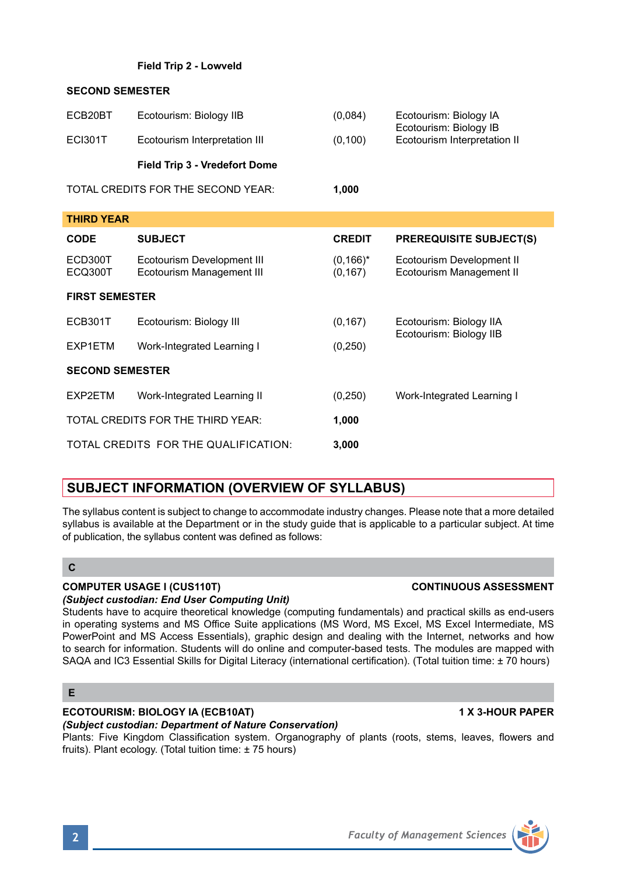### **Field Trip 2 - Lowveld**

### **SECOND SEMESTER**

| ECB20BT<br><b>ECI301T</b>          | Ecotourism: Biology IIB<br>Ecotourism Interpretation III | (0.084)<br>(0, 100) | Ecotourism: Biology IA<br>Ecotourism: Biology IB<br>Ecotourism Interpretation II |
|------------------------------------|----------------------------------------------------------|---------------------|----------------------------------------------------------------------------------|
|                                    | Field Trip 3 - Vredefort Dome                            |                     |                                                                                  |
| TOTAL CREDITS FOR THE SECOND YEAR: |                                                          | 1.000               |                                                                                  |

**THIRD YEAR CODE SUBJECT CREDIT PREREQUISITE SUBJECT(S)** ECD300T Ecotourism Development III (0,166)\* Ecotourism Development II Ecotourism Management III (0,167) Ecotourism Management II **FIRST SEMESTER** ECB301T Ecotourism: Biology III (0,167) Ecotourism: Biology IIA Ecotourism: Biology IIB EXP1ETM Work-Integrated Learning I (0,250) **SECOND SEMESTER** EXP2ETM Work-Integrated Learning II (0,250) Work-Integrated Learning I TOTAL CREDITS FOR THE THIRD YEAR: **1,000** TOTAL CREDITS FOR THE QUALIFICATION: **3,000**

# **SUBJECT INFORMATION (OVERVIEW OF SYLLABUS)**

The syllabus content is subject to change to accommodate industry changes. Please note that a more detailed syllabus is available at the Department or in the study guide that is applicable to a particular subject. At time of publication, the syllabus content was defined as follows:

## **C**

## **COMPUTER USAGE I (CUS110T) CONTINUOUS ASSESSMENT**

*(Subject custodian: End User Computing Unit)* Students have to acquire theoretical knowledge (computing fundamentals) and practical skills as end-users in operating systems and MS Office Suite applications (MS Word, MS Excel, MS Excel Intermediate, MS PowerPoint and MS Access Essentials), graphic design and dealing with the Internet, networks and how to search for information. Students will do online and computer-based tests. The modules are mapped with SAQA and IC3 Essential Skills for Digital Literacy (international certification). (Total tuition time: ± 70 hours)

## **E**

# **ECOTOURISM: BIOLOGY IA (ECB10AT) 1 X 3-HOUR PAPER**

## *(Subject custodian: Department of Nature Conservation)*

Plants: Five Kingdom Classification system. Organography of plants (roots, stems, leaves, flowers and fruits). Plant ecology. (Total tuition time: ± 75 hours)

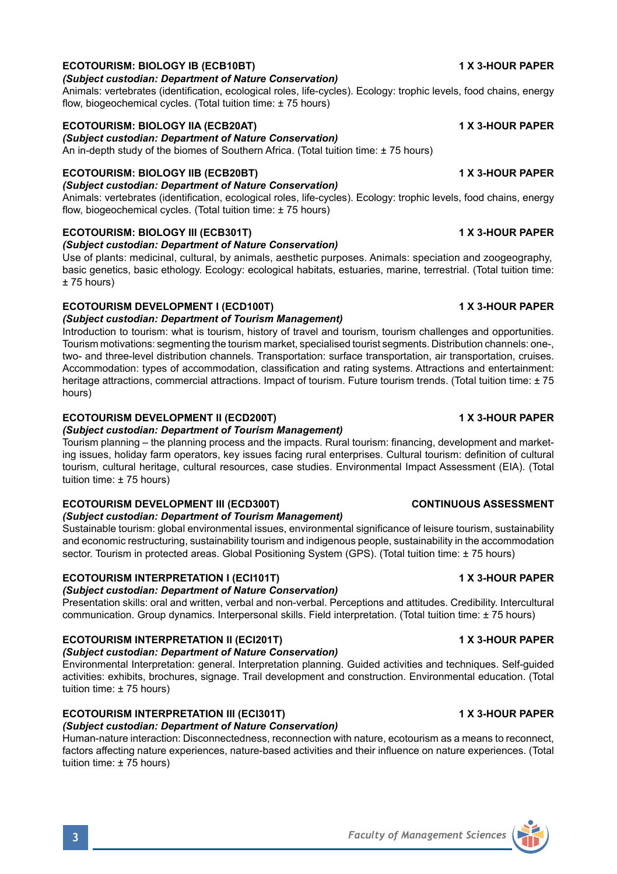# **ECOTOURISM: BIOLOGY IB (ECB10BT) 1 X 3-HOUR PAPER**

### *(Subject custodian: Department of Nature Conservation)*

Animals: vertebrates (identification, ecological roles, life-cycles). Ecology: trophic levels, food chains, energy flow, biogeochemical cycles. (Total tuition time: ± 75 hours)

### **ECOTOURISM: BIOLOGY IIA (ECB20AT) 1 X 3-HOUR PAPER**

*(Subject custodian: Department of Nature Conservation)*

An in-depth study of the biomes of Southern Africa. (Total tuition time: ± 75 hours)

## **ECOTOURISM: BIOLOGY IIB (ECB20BT) 1 X 3-HOUR PAPER**

*(Subject custodian: Department of Nature Conservation)* Animals: vertebrates (identification, ecological roles, life-cycles). Ecology: trophic levels, food chains, energy flow, biogeochemical cycles. (Total tuition time: ± 75 hours)

### **ECOTOURISM: BIOLOGY III (ECB301T) 1 X 3-HOUR PAPER**

*(Subject custodian: Department of Nature Conservation)*

Use of plants: medicinal, cultural, by animals, aesthetic purposes. Animals: speciation and zoogeography, basic genetics, basic ethology. Ecology: ecological habitats, estuaries, marine, terrestrial. (Total tuition time: ± 75 hours)

## **ECOTOURISM DEVELOPMENT I (ECD100T) 1 X 3-HOUR PAPER**

*(Subject custodian: Department of Tourism Management)*

Introduction to tourism: what is tourism, history of travel and tourism, tourism challenges and opportunities. Tourism motivations: segmenting the tourism market, specialised tourist segments. Distribution channels: one-, two- and three-level distribution channels. Transportation: surface transportation, air transportation, cruises. Accommodation: types of accommodation, classification and rating systems. Attractions and entertainment: heritage attractions, commercial attractions. Impact of tourism. Future tourism trends. (Total tuition time: ±75 hours)

## **ECOTOURISM DEVELOPMENT II (ECD200T) 1 X 3-HOUR PAPER**

*(Subject custodian: Department of Tourism Management)*

Tourism planning – the planning process and the impacts. Rural tourism: financing, development and marketing issues, holiday farm operators, key issues facing rural enterprises. Cultural tourism: definition of cultural tourism, cultural heritage, cultural resources, case studies. Environmental Impact Assessment (EIA). (Total tuition time: ± 75 hours)

### **ECOTOURISM DEVELOPMENT III (ECD300T) CONTINUOUS ASSESSMENT**

### *(Subject custodian: Department of Tourism Management)*

Sustainable tourism: global environmental issues, environmental significance of leisure tourism, sustainability and economic restructuring, sustainability tourism and indigenous people, sustainability in the accommodation sector. Tourism in protected areas. Global Positioning System (GPS). (Total tuition time: ± 75 hours)

### **ECOTOURISM INTERPRETATION I (ECI101T) 1 X 3-HOUR PAPER**

### *(Subject custodian: Department of Nature Conservation)*

Presentation skills: oral and written, verbal and non-verbal. Perceptions and attitudes. Credibility. Intercultural communication. Group dynamics. Interpersonal skills. Field interpretation. (Total tuition time: ± 75 hours)

# **ECOTOURISM INTERPRETATION II (ECI201T) 1 X 3-HOUR PAPER**

## *(Subject custodian: Department of Nature Conservation)*

Environmental Interpretation: general. Interpretation planning. Guided activities and techniques. Self-guided activities: exhibits, brochures, signage. Trail development and construction. Environmental education. (Total tuition time: ± 75 hours)

### **ECOTOURISM INTERPRETATION III (ECI301T) 1 X 3-HOUR PAPER**

## *(Subject custodian: Department of Nature Conservation)*

Human-nature interaction: Disconnectedness, reconnection with nature, ecotourism as a means to reconnect, factors affecting nature experiences, nature-based activities and their influence on nature experiences. (Total tuition time: ± 75 hours)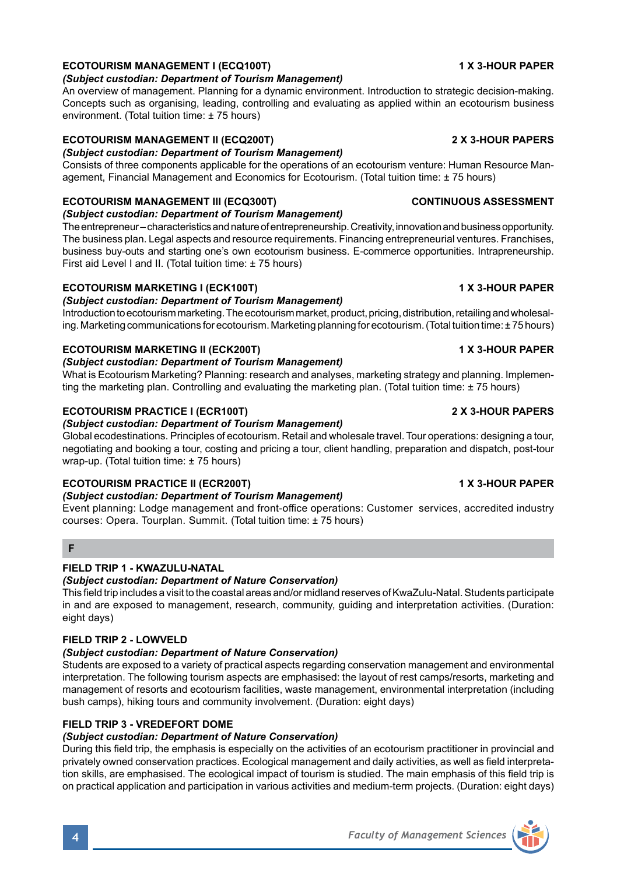# **ECOTOURISM MANAGEMENT I (ECQ100T) 1 X 3-HOUR PAPER**

## *(Subject custodian: Department of Tourism Management)*

An overview of management. Planning for a dynamic environment. Introduction to strategic decision-making. Concepts such as organising, leading, controlling and evaluating as applied within an ecotourism business environment. (Total tuition time: ± 75 hours)

# **ECOTOURISM MANAGEMENT II (ECQ200T) 2 X 3-HOUR PAPERS**

*(Subject custodian: Department of Tourism Management)*

Consists of three components applicable for the operations of an ecotourism venture: Human Resource Management, Financial Management and Economics for Ecotourism. (Total tuition time: ± 75 hours)

# **ECOTOURISM MANAGEMENT III (ECQ300T) CONTINUOUS ASSESSMENT**

*(Subject custodian: Department of Tourism Management)* The entrepreneur – characteristics and nature of entrepreneurship. Creativity, innovation and business opportunity. The business plan. Legal aspects and resource requirements. Financing entrepreneurial ventures. Franchises,

business buy-outs and starting one's own ecotourism business. E-commerce opportunities. Intrapreneurship. First aid Level I and II. (Total tuition time: ± 75 hours)

# **ECOTOURISM MARKETING I (ECK100T) 1 X 3-HOUR PAPER**

# *(Subject custodian: Department of Tourism Management)*

Introduction to ecotourism marketing. The ecotourism market, product, pricing, distribution, retailing and wholesaling. Marketing communications for ecotourism. Marketing planning for ecotourism. (Total tuition time: ± 75 hours)

# **ECOTOURISM MARKETING II (ECK200T) 1 X 3-HOUR PAPER**

# *(Subject custodian: Department of Tourism Management)*

What is Ecotourism Marketing? Planning: research and analyses, marketing strategy and planning. Implementing the marketing plan. Controlling and evaluating the marketing plan. (Total tuition time: ± 75 hours)

# **ECOTOURISM PRACTICE I (ECR100T) 2 X 3-HOUR PAPERS**

# *(Subject custodian: Department of Tourism Management)*

Global ecodestinations. Principles of ecotourism. Retail and wholesale travel. Tour operations: designing a tour, negotiating and booking a tour, costing and pricing a tour, client handling, preparation and dispatch, post-tour wrap-up. (Total tuition time: ± 75 hours)

# **ECOTOURISM PRACTICE II (ECR200T) 1 X 3-HOUR PAPER**

# *(Subject custodian: Department of Tourism Management)*

Event planning: Lodge management and front-office operations: Customer services, accredited industry courses: Opera. Tourplan. Summit. (Total tuition time: ± 75 hours)

# **F**

# **FIELD TRIP 1 - KWAZULU-NATAL**

# *(Subject custodian: Department of Nature Conservation)*

This field trip includes a visit to the coastal areas and/or midland reserves of KwaZulu-Natal. Students participate in and are exposed to management, research, community, guiding and interpretation activities. (Duration: eight days)

# **FIELD TRIP 2 - LOWVELD**

# *(Subject custodian: Department of Nature Conservation)*

Students are exposed to a variety of practical aspects regarding conservation management and environmental interpretation. The following tourism aspects are emphasised: the layout of rest camps/resorts, marketing and management of resorts and ecotourism facilities, waste management, environmental interpretation (including bush camps), hiking tours and community involvement. (Duration: eight days)

# **FIELD TRIP 3 - VREDEFORT DOME**

# *(Subject custodian: Department of Nature Conservation)*

During this field trip, the emphasis is especially on the activities of an ecotourism practitioner in provincial and privately owned conservation practices. Ecological management and daily activities, as well as field interpretation skills, are emphasised. The ecological impact of tourism is studied. The main emphasis of this field trip is on practical application and participation in various activities and medium-term projects. (Duration: eight days)